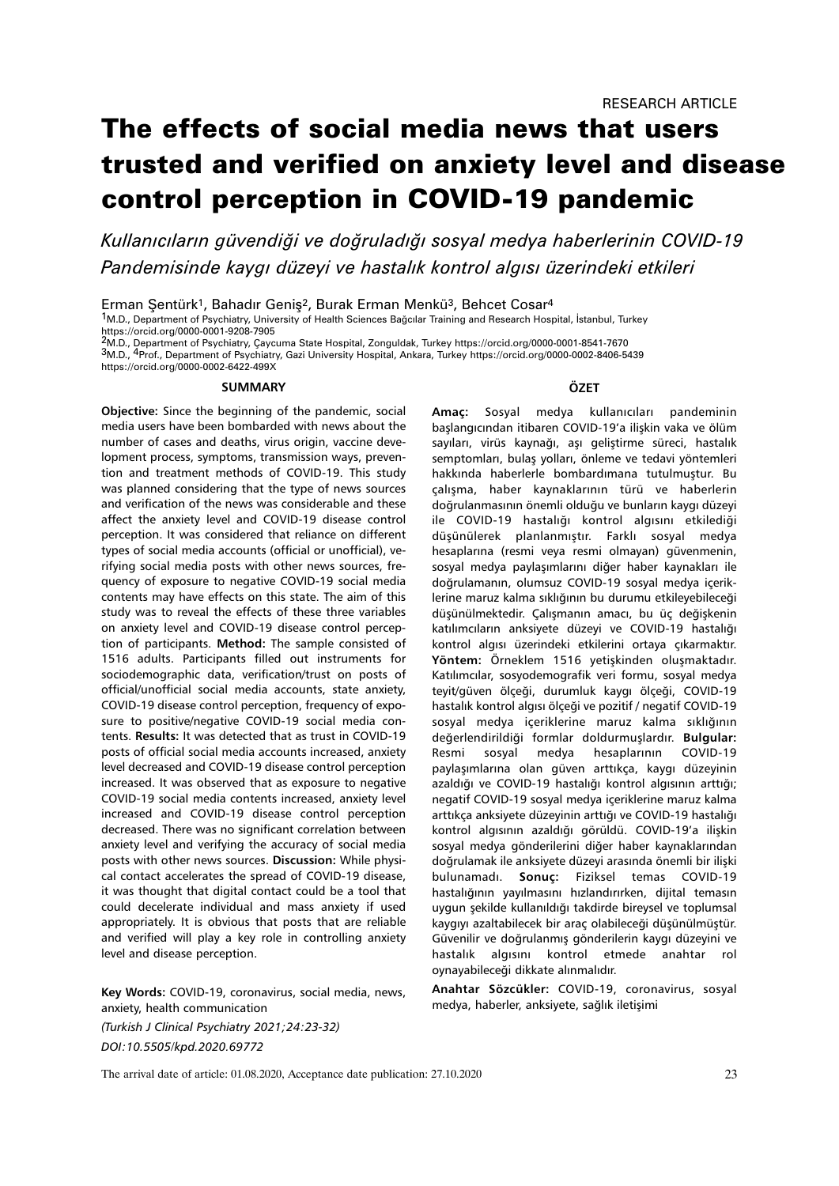# The effects of social media news that users trusted and verified on anxiety level and disease control perception in COVID-19 pandemic

*Kullanıcıların güvendiği ve doğruladığı sosyal medya haberlerinin COVID-19 Pandemisinde kaygı düzeyi ve hastalık kontrol algısı üzerindeki etkileri*

Erman Şentürk1, Bahadır Geniş2, Burak Erman Menkü3, Behcet Cosar<sup>4</sup>

1M.D., Department of Psychiatry, University of Health Sciences Bağcılar Training and Research Hospital, İstanbul, Turkey https://orcid.org/0000-0001-9208-7905

2M.D., Department of Psychiatry, Çaycuma State Hospital, Zonguldak, Turkey https://orcid.org/0000-0001-8541-7670

3M.D., 4Prof., Department of Psychiatry, Gazi University Hospital, Ankara, Turkey https://orcid.org/0000-0002-8406-5439 https://orcid.org/0000-0002-6422-499X

#### **SUMMARY**

**Objective:** Since the beginning of the pandemic, social media users have been bombarded with news about the number of cases and deaths, virus origin, vaccine development process, symptoms, transmission ways, prevention and treatment methods of COVID-19. This study was planned considering that the type of news sources and verification of the news was considerable and these affect the anxiety level and COVID-19 disease control perception. It was considered that reliance on different types of social media accounts (official or unofficial), verifying social media posts with other news sources, frequency of exposure to negative COVID-19 social media contents may have effects on this state. The aim of this study was to reveal the effects of these three variables on anxiety level and COVID-19 disease control perception of participants. **Method:** The sample consisted of 1516 adults. Participants filled out instruments for sociodemographic data, verification/trust on posts of official/unofficial social media accounts, state anxiety, COVID-19 disease control perception, frequency of exposure to positive/negative COVID-19 social media contents. **Results:** It was detected that as trust in COVID-19 posts of official social media accounts increased, anxiety level decreased and COVID-19 disease control perception increased. It was observed that as exposure to negative COVID-19 social media contents increased, anxiety level increased and COVID-19 disease control perception decreased. There was no significant correlation between anxiety level and verifying the accuracy of social media posts with other news sources. **Discussion:** While physical contact accelerates the spread of COVID-19 disease, it was thought that digital contact could be a tool that could decelerate individual and mass anxiety if used appropriately. It is obvious that posts that are reliable and verified will play a key role in controlling anxiety level and disease perception.

**Key Words:** COVID-19, coronavirus, social media, news, anxiety, health communication

*(Turkish J Clinical Psychiatry 2021;24:23-32) DOI:10.5505/kpd.2020.69772*

#### **ÖZET**

**Amaç:** Sosyal medya kullanıcıları pandeminin başlangıcından itibaren COVID-19'a ilişkin vaka ve ölüm sayıları, virüs kaynağı, aşı geliştirme süreci, hastalık semptomları, bulaş yolları, önleme ve tedavi yöntemleri hakkında haberlerle bombardımana tutulmuştur. Bu çalışma, haber kaynaklarının türü ve haberlerin doğrulanmasının önemli olduğu ve bunların kaygı düzeyi ile COVID-19 hastalığı kontrol algısını etkilediği düşünülerek planlanmıştır. Farklı sosyal medya hesaplarına (resmi veya resmi olmayan) güvenmenin, sosyal medya paylaşımlarını diğer haber kaynakları ile doğrulamanın, olumsuz COVID-19 sosyal medya içeriklerine maruz kalma sıklığının bu durumu etkileyebileceği düşünülmektedir. Çalışmanın amacı, bu üç değişkenin katılımcıların anksiyete düzeyi ve COVID-19 hastalığı kontrol algısı üzerindeki etkilerini ortaya çıkarmaktır. **Yöntem:** Örneklem 1516 yetişkinden oluşmaktadır. Katılımcılar, sosyodemografik veri formu, sosyal medya teyit/güven ölçeği, durumluk kaygı ölçeği, COVID-19 hastalık kontrol algısı ölçeği ve pozitif / negatif COVID-19 sosyal medya içeriklerine maruz kalma sıklığının değerlendirildiği formlar doldurmuşlardır. **Bulgular:**  Resmi sosyal medya hesaplarının COVID-19 paylaşımlarına olan güven arttıkça, kaygı düzeyinin azaldığı ve COVID-19 hastalığı kontrol algısının arttığı; negatif COVID-19 sosyal medya içeriklerine maruz kalma arttıkça anksiyete düzeyinin arttığı ve COVID-19 hastalığı kontrol algısının azaldığı görüldü. COVID-19'a ilişkin sosyal medya gönderilerini diğer haber kaynaklarından doğrulamak ile anksiyete düzeyi arasında önemli bir ilişki bulunamadı. **Sonuç:** Fiziksel temas COVID-19 hastalığının yayılmasını hızlandırırken, dijital temasın uygun şekilde kullanıldığı takdirde bireysel ve toplumsal kaygıyı azaltabilecek bir araç olabileceği düşünülmüştür. Güvenilir ve doğrulanmış gönderilerin kaygı düzeyini ve hastalık algısını kontrol etmede anahtar rol oynayabileceği dikkate alınmalıdır.

**Anahtar Sözcükler:** COVID-19, coronavirus, sosyal medya, haberler, anksiyete, sağlık iletişimi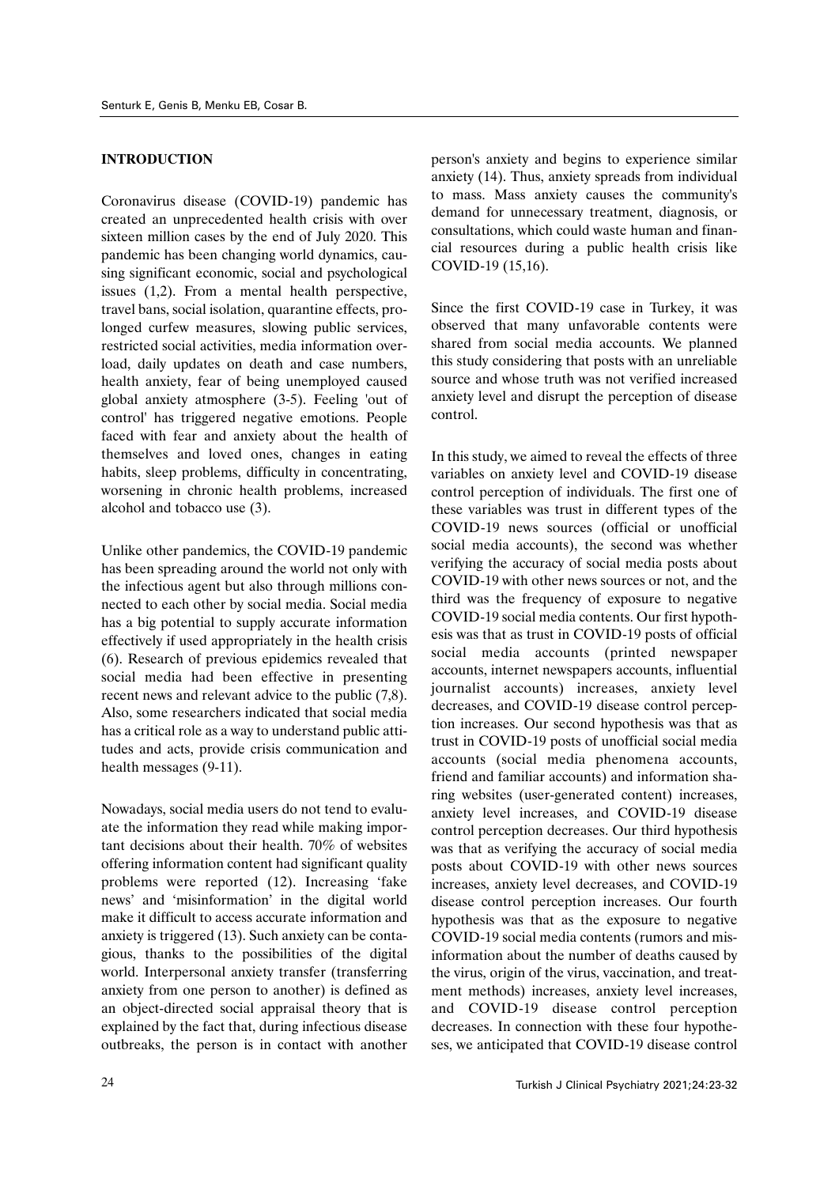## **INTRODUCTION**

Coronavirus disease (COVID-19) pandemic has created an unprecedented health crisis with over sixteen million cases by the end of July 2020. This pandemic has been changing world dynamics, causing significant economic, social and psychological issues (1,2). From a mental health perspective, travel bans, social isolation, quarantine effects, prolonged curfew measures, slowing public services, restricted social activities, media information overload, daily updates on death and case numbers, health anxiety, fear of being unemployed caused global anxiety atmosphere (3-5). Feeling 'out of control' has triggered negative emotions. People faced with fear and anxiety about the health of themselves and loved ones, changes in eating habits, sleep problems, difficulty in concentrating, worsening in chronic health problems, increased alcohol and tobacco use (3).

Unlike other pandemics, the COVID-19 pandemic has been spreading around the world not only with the infectious agent but also through millions connected to each other by social media. Social media has a big potential to supply accurate information effectively if used appropriately in the health crisis (6). Research of previous epidemics revealed that social media had been effective in presenting recent news and relevant advice to the public (7,8). Also, some researchers indicated that social media has a critical role as a way to understand public attitudes and acts, provide crisis communication and health messages (9-11).

Nowadays, social media users do not tend to evaluate the information they read while making important decisions about their health. 70% of websites offering information content had significant quality problems were reported (12). Increasing 'fake news' and 'misinformation' in the digital world make it difficult to access accurate information and anxiety is triggered (13). Such anxiety can be contagious, thanks to the possibilities of the digital world. Interpersonal anxiety transfer (transferring anxiety from one person to another) is defined as an object-directed social appraisal theory that is explained by the fact that, during infectious disease outbreaks, the person is in contact with another person's anxiety and begins to experience similar anxiety (14). Thus, anxiety spreads from individual to mass. Mass anxiety causes the community's demand for unnecessary treatment, diagnosis, or consultations, which could waste human and financial resources during a public health crisis like COVID-19 (15,16).

Since the first COVID-19 case in Turkey, it was observed that many unfavorable contents were shared from social media accounts. We planned this study considering that posts with an unreliable source and whose truth was not verified increased anxiety level and disrupt the perception of disease control.

In this study, we aimed to reveal the effects of three variables on anxiety level and COVID-19 disease control perception of individuals. The first one of these variables was trust in different types of the COVID-19 news sources (official or unofficial social media accounts), the second was whether verifying the accuracy of social media posts about COVID-19 with other news sources or not, and the third was the frequency of exposure to negative COVID-19 social media contents. Our first hypothesis was that as trust in COVID-19 posts of official social media accounts (printed newspaper accounts, internet newspapers accounts, influential journalist accounts) increases, anxiety level decreases, and COVID-19 disease control perception increases. Our second hypothesis was that as trust in COVID-19 posts of unofficial social media accounts (social media phenomena accounts, friend and familiar accounts) and information sharing websites (user-generated content) increases, anxiety level increases, and COVID-19 disease control perception decreases. Our third hypothesis was that as verifying the accuracy of social media posts about COVID-19 with other news sources increases, anxiety level decreases, and COVID-19 disease control perception increases. Our fourth hypothesis was that as the exposure to negative COVID-19 social media contents (rumors and misinformation about the number of deaths caused by the virus, origin of the virus, vaccination, and treatment methods) increases, anxiety level increases, and COVID-19 disease control perception decreases. In connection with these four hypotheses, we anticipated that COVID-19 disease control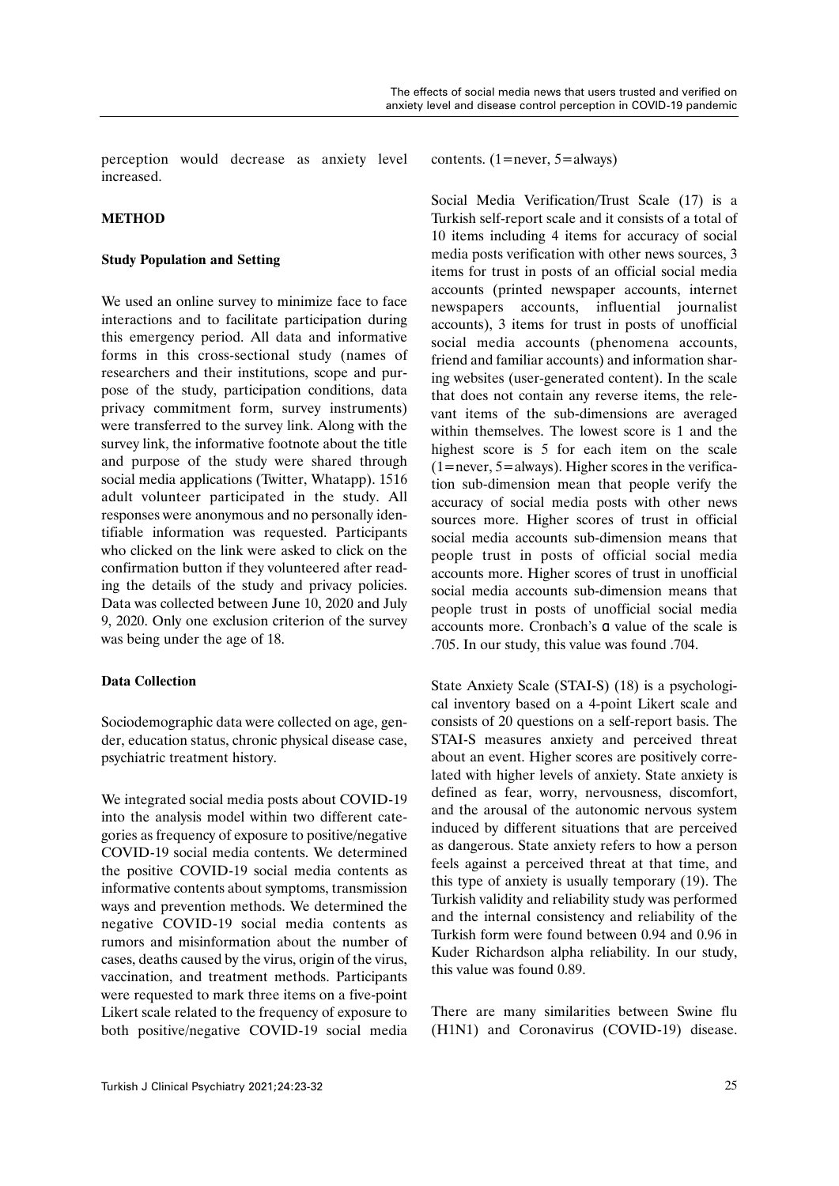perception would decrease as anxiety level increased.

## **METHOD**

## **Study Population and Setting**

We used an online survey to minimize face to face interactions and to facilitate participation during this emergency period. All data and informative forms in this cross-sectional study (names of researchers and their institutions, scope and purpose of the study, participation conditions, data privacy commitment form, survey instruments) were transferred to the survey link. Along with the survey link, the informative footnote about the title and purpose of the study were shared through social media applications (Twitter, Whatapp). 1516 adult volunteer participated in the study. All responses were anonymous and no personally identifiable information was requested. Participants who clicked on the link were asked to click on the confirmation button if they volunteered after reading the details of the study and privacy policies. Data was collected between June 10, 2020 and July 9, 2020. Only one exclusion criterion of the survey was being under the age of 18.

## **Data Collection**

Sociodemographic data were collected on age, gender, education status, chronic physical disease case, psychiatric treatment history.

We integrated social media posts about COVID-19 into the analysis model within two different categories as frequency of exposure to positive/negative COVID-19 social media contents. We determined the positive COVID-19 social media contents as informative contents about symptoms, transmission ways and prevention methods. We determined the negative COVID-19 social media contents as rumors and misinformation about the number of cases, deaths caused by the virus, origin of the virus, vaccination, and treatment methods. Participants were requested to mark three items on a five-point Likert scale related to the frequency of exposure to both positive/negative COVID-19 social media

contents. (1=never, 5=always)

Social Media Verification/Trust Scale (17) is a Turkish self-report scale and it consists of a total of 10 items including 4 items for accuracy of social media posts verification with other news sources, 3 items for trust in posts of an official social media accounts (printed newspaper accounts, internet newspapers accounts, influential journalist accounts), 3 items for trust in posts of unofficial social media accounts (phenomena accounts, friend and familiar accounts) and information sharing websites (user-generated content). In the scale that does not contain any reverse items, the relevant items of the sub-dimensions are averaged within themselves. The lowest score is 1 and the highest score is 5 for each item on the scale (1=never, 5=always). Higher scores in the verification sub-dimension mean that people verify the accuracy of social media posts with other news sources more. Higher scores of trust in official social media accounts sub-dimension means that people trust in posts of official social media accounts more. Higher scores of trust in unofficial social media accounts sub-dimension means that people trust in posts of unofficial social media accounts more. Cronbach's α value of the scale is .705. In our study, this value was found .704.

State Anxiety Scale (STAI-S) (18) is a psychological inventory based on a 4-point Likert scale and consists of 20 questions on a self-report basis. The STAI-S measures anxiety and perceived threat about an event. Higher scores are positively correlated with higher levels of anxiety. State anxiety is defined as fear, worry, nervousness, discomfort, and the arousal of the autonomic nervous system induced by different situations that are perceived as dangerous. State anxiety refers to how a person feels against a perceived threat at that time, and this type of anxiety is usually temporary (19). The Turkish validity and reliability study was performed and the internal consistency and reliability of the Turkish form were found between 0.94 and 0.96 in Kuder Richardson alpha reliability. In our study, this value was found 0.89.

There are many similarities between Swine flu (H1N1) and Coronavirus (COVID-19) disease.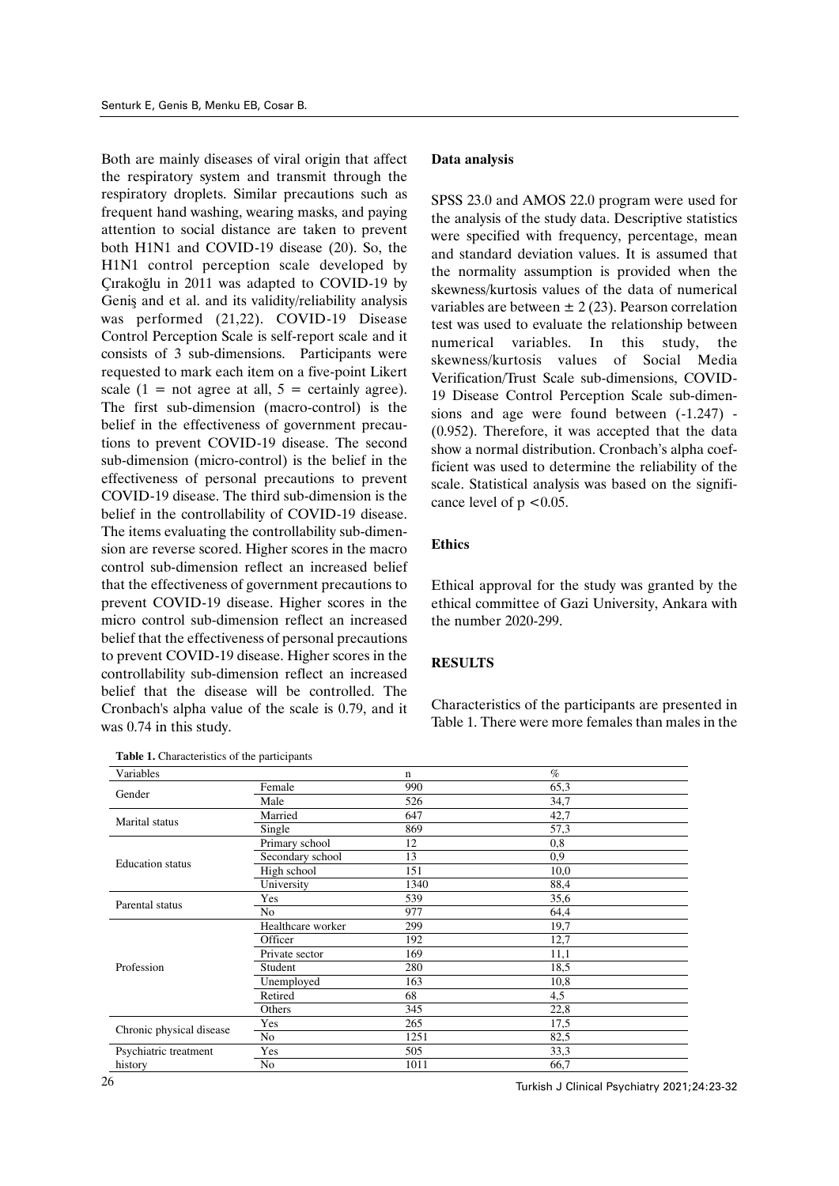Both are mainly diseases of viral origin that affect the respiratory system and transmit through the respiratory droplets. Similar precautions such as frequent hand washing, wearing masks, and paying attention to social distance are taken to prevent both H1N1 and COVID-19 disease (20). So, the H1N1 control perception scale developed by Çırakoğlu in 2011 was adapted to COVID-19 by Geniş and et al. and its validity/reliability analysis was performed (21,22). COVID-19 Disease Control Perception Scale is self-report scale and it consists of 3 sub-dimensions. Participants were requested to mark each item on a five-point Likert scale  $(1 = not agree at all, 5 = certainly agree)$ . The first sub-dimension (macro-control) is the belief in the effectiveness of government precautions to prevent COVID-19 disease. The second sub-dimension (micro-control) is the belief in the effectiveness of personal precautions to prevent COVID-19 disease. The third sub-dimension is the belief in the controllability of COVID-19 disease. The items evaluating the controllability sub-dimension are reverse scored. Higher scores in the macro control sub-dimension reflect an increased belief that the effectiveness of government precautions to prevent COVID-19 disease. Higher scores in the micro control sub-dimension reflect an increased belief that the effectiveness of personal precautions to prevent COVID-19 disease. Higher scores in the controllability sub-dimension reflect an increased belief that the disease will be controlled. The Cronbach's alpha value of the scale is 0.79, and it was 0.74 in this study.

**Table 1.** Characteristics of the participants

### **Data analysis**

SPSS 23.0 and AMOS 22.0 program were used for the analysis of the study data. Descriptive statistics were specified with frequency, percentage, mean and standard deviation values. It is assumed that the normality assumption is provided when the skewness/kurtosis values of the data of numerical variables are between  $\pm$  2 (23). Pearson correlation test was used to evaluate the relationship between numerical variables. In this study, the skewness/kurtosis values of Social Media Verification/Trust Scale sub-dimensions, COVID-19 Disease Control Perception Scale sub-dimensions and age were found between (-1.247) - (0.952). Therefore, it was accepted that the data show a normal distribution. Cronbach's alpha coefficient was used to determine the reliability of the scale. Statistical analysis was based on the significance level of  $p \leq 0.05$ .

## **Ethics**

Ethical approval for the study was granted by the ethical committee of Gazi University, Ankara with the number 2020-299.

## **RESULTS**

Characteristics of the participants are presented in Table 1. There were more females than males in the

| Variables                                                                                              |                   | $\mathbf n$                                                                              | $\%$ |
|--------------------------------------------------------------------------------------------------------|-------------------|------------------------------------------------------------------------------------------|------|
|                                                                                                        | Female            | 990                                                                                      | 65,3 |
|                                                                                                        | Male              | 526                                                                                      | 34,7 |
|                                                                                                        | Married           | 647                                                                                      | 42,7 |
|                                                                                                        | Single            | 869                                                                                      | 57,3 |
|                                                                                                        | Primary school    | 12                                                                                       | 0,8  |
| <b>Education</b> status<br>Parental status                                                             | Secondary school  | 13                                                                                       | 0,9  |
|                                                                                                        | High school       | 151                                                                                      | 10,0 |
|                                                                                                        | University        | 1340                                                                                     | 88,4 |
|                                                                                                        | Yes               | 539<br>977<br>299<br>192<br>169<br>280<br>163<br>68<br>345<br>265<br>1251<br>505<br>1011 | 35,6 |
|                                                                                                        | N <sub>o</sub>    |                                                                                          | 64,4 |
| Gender<br>Marital status<br>Profession<br>Chronic physical disease<br>Psychiatric treatment<br>history | Healthcare worker |                                                                                          | 19,7 |
|                                                                                                        | Officer           |                                                                                          | 12,7 |
|                                                                                                        | Private sector    |                                                                                          | 11,1 |
|                                                                                                        | Student           |                                                                                          | 18,5 |
|                                                                                                        | Unemployed        |                                                                                          | 10,8 |
|                                                                                                        | Retired           |                                                                                          | 4,5  |
|                                                                                                        | Others            |                                                                                          | 22,8 |
|                                                                                                        | Yes               |                                                                                          | 17,5 |
|                                                                                                        | No                |                                                                                          | 82,5 |
|                                                                                                        | Yes               |                                                                                          | 33,3 |
|                                                                                                        | No                |                                                                                          | 66,7 |

Turkish J Clinical Psychiatry 2021;24:23-32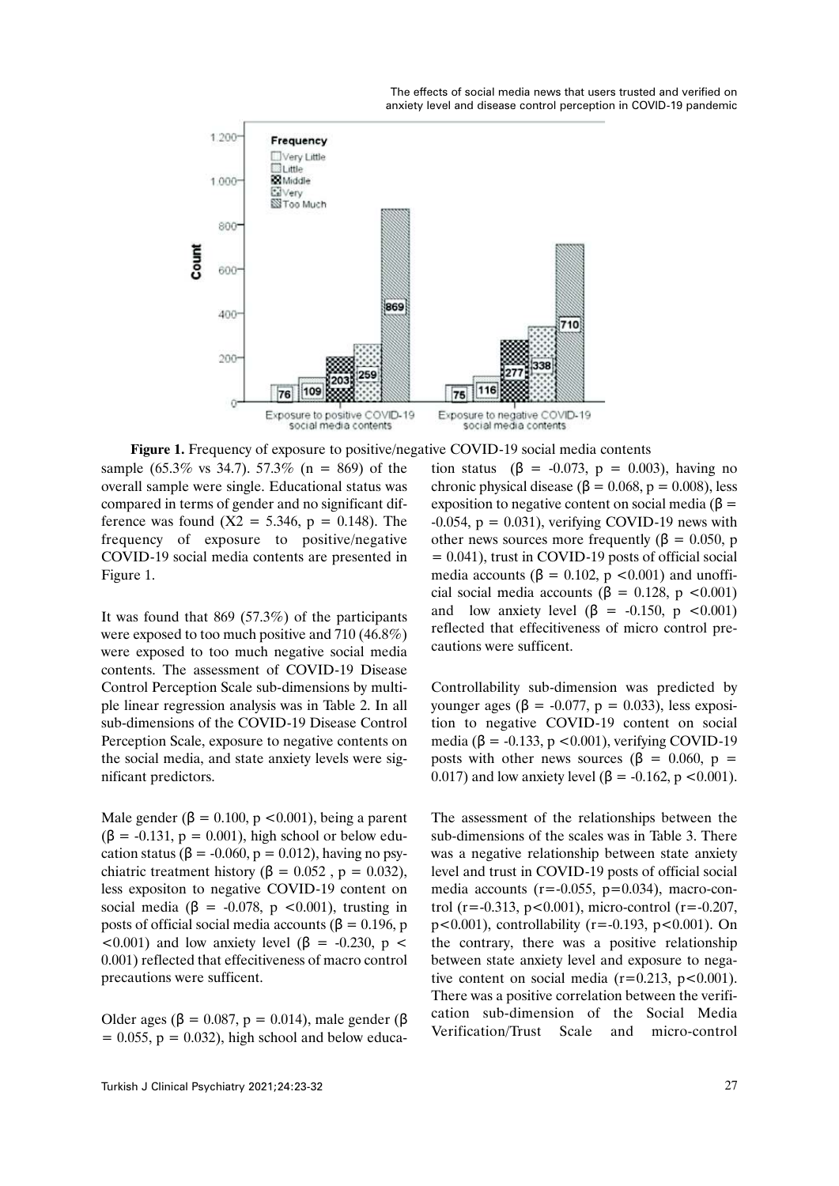

 **Figure 1.** Frequency of exposure to positive/negative COVID-19 social media contents

sample (65.3% vs 34.7). 57.3% (n = 869) of the overall sample were single. Educational status was compared in terms of gender and no significant difference was found  $(X2 = 5.346, p = 0.148)$ . The frequency of exposure to positive/negative COVID-19 social media contents are presented in Figure 1.

It was found that  $869$  (57.3%) of the participants were exposed to too much positive and 710 (46.8%) were exposed to too much negative social media contents. The assessment of COVID-19 Disease Control Perception Scale sub-dimensions by multiple linear regression analysis was in Table 2. In all sub-dimensions of the COVID-19 Disease Control Perception Scale, exposure to negative contents on the social media, and state anxiety levels were significant predictors.

Male gender ( $\beta$  = 0.100, p <0.001), being a parent  $(\beta = -0.131, p = 0.001)$ , high school or below education status ( $\beta$  = -0.060, p = 0.012), having no psychiatric treatment history (β =  $0.052$ , p =  $0.032$ ), less expositon to negative COVID-19 content on social media ( $\beta$  = -0.078, p <0.001), trusting in posts of official social media accounts ( $β = 0.196$ , p  $< 0.001$ ) and low anxiety level ( $\beta$  = -0.230, p < 0.001) reflected that effecitiveness of macro control precautions were sufficent.

Older ages (β = 0.087, p = 0.014), male gender (β  $= 0.055$ ,  $p = 0.032$ ), high school and below education status (β = -0.073, p = 0.003), having no chronic physical disease ( $\beta = 0.068$ ,  $p = 0.008$ ), less exposition to negative content on social media ( $\beta$  =  $-0.054$ ,  $p = 0.031$ ), verifying COVID-19 news with other news sources more frequently ( $\beta = 0.050$ , p = 0.041), trust in COVID-19 posts of official social media accounts ( $\beta = 0.102$ ,  $p \lt 0.001$ ) and unofficial social media accounts ( $\beta = 0.128$ , p <0.001) and low anxiety level  $(\beta = -0.150, p \lt 0.001)$ reflected that effecitiveness of micro control precautions were sufficent.

Controllability sub-dimension was predicted by younger ages (β = -0.077, p = 0.033), less exposition to negative COVID-19 content on social media ( $\beta$  = -0.133, p <0.001), verifying COVID-19 posts with other news sources (β = 0.060, p = 0.017) and low anxiety level ( $\beta$  = -0.162, p <0.001).

The assessment of the relationships between the sub-dimensions of the scales was in Table 3. There was a negative relationship between state anxiety level and trust in COVID-19 posts of official social media accounts  $(r = -0.055, p = 0.034)$ , macro-control (r=-0.313, p<0.001), micro-control (r=-0.207,  $p<0.001$ ), controllability (r=-0.193, p<0.001). On the contrary, there was a positive relationship between state anxiety level and exposure to negative content on social media ( $r=0.213$ ,  $p<0.001$ ). There was a positive correlation between the verification sub-dimension of the Social Media Verification/Trust Scale and micro-control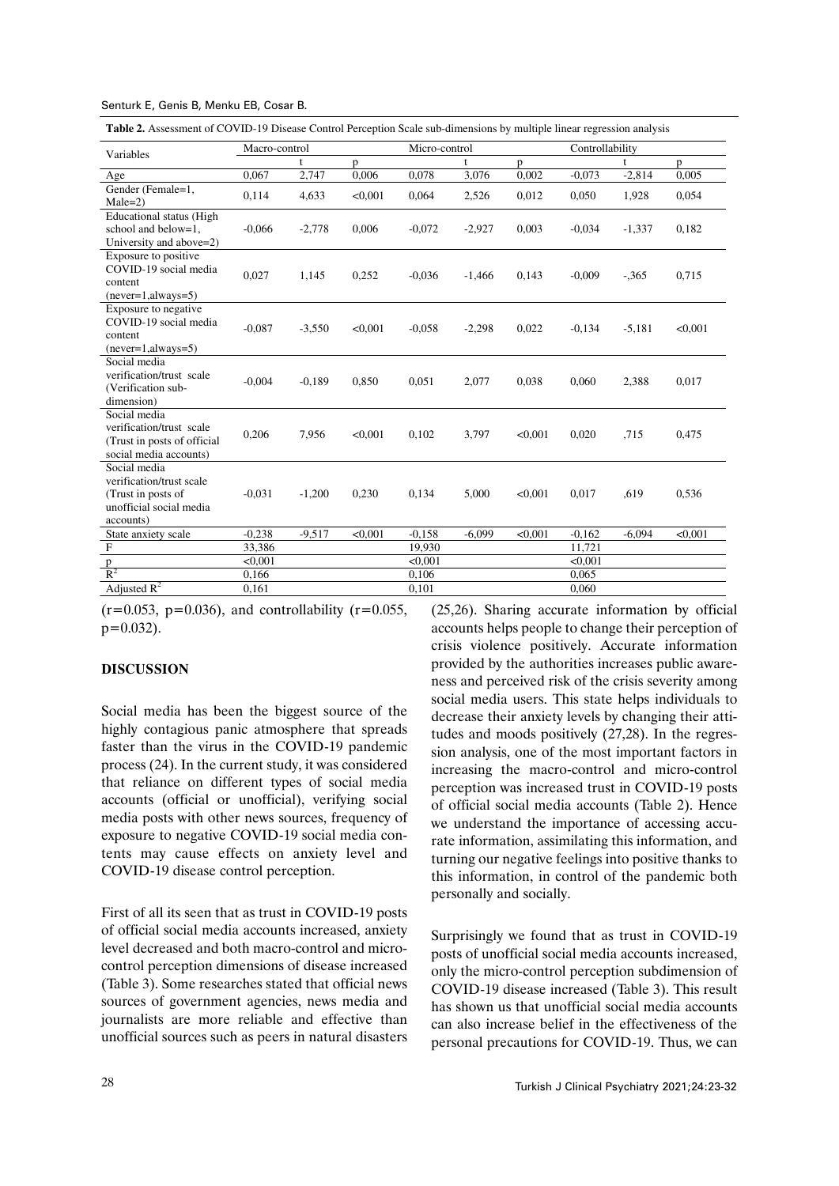**Table 2.** Assessment of COVID-19 Disease Control Perception Scale sub-dimensions by multiple linear regression analysis

| Variables                                                                                              | Macro-control |          |         | Micro-control |          |         | Controllability |          |         |
|--------------------------------------------------------------------------------------------------------|---------------|----------|---------|---------------|----------|---------|-----------------|----------|---------|
|                                                                                                        |               | t        | p       |               | t        | p       |                 | t        | p.      |
| Age                                                                                                    | 0,067         | 2,747    | 0,006   | 0.078         | 3,076    | 0,002   | $-0.073$        | $-2,814$ | 0,005   |
| Gender (Female=1,<br>$Male=2)$                                                                         | 0,114         | 4,633    | < 0.001 | 0,064         | 2,526    | 0.012   | 0,050           | 1,928    | 0,054   |
| <b>Educational status (High</b><br>school and below=1.<br>University and above=2)                      | $-0,066$      | $-2,778$ | 0,006   | $-0.072$      | $-2,927$ | 0,003   | $-0.034$        | $-1,337$ | 0,182   |
| Exposure to positive<br>COVID-19 social media<br>content<br>$(newer=1, always=5)$                      | 0,027         | 1,145    | 0,252   | $-0.036$      | $-1,466$ | 0,143   | $-0.009$        | $-.365$  | 0,715   |
| Exposure to negative<br>COVID-19 social media<br>content<br>$(newer=1, always=5)$                      | $-0.087$      | $-3,550$ | < 0.001 | $-0.058$      | $-2,298$ | 0,022   | $-0,134$        | $-5,181$ | < 0.001 |
| Social media<br>verification/trust scale<br>(Verification sub-<br>dimension)                           | $-0,004$      | $-0,189$ | 0,850   | 0,051         | 2,077    | 0,038   | 0,060           | 2,388    | 0,017   |
| Social media<br>verification/trust_scale<br>(Trust in posts of official<br>social media accounts)      | 0,206         | 7,956    | < 0.001 | 0,102         | 3,797    | < 0.001 | 0,020           | .715     | 0,475   |
| Social media<br>verification/trust scale<br>(Trust in posts of<br>unofficial social media<br>accounts) | $-0.031$      | $-1,200$ | 0,230   | 0.134         | 5,000    | < 0.001 | 0,017           | ,619     | 0,536   |
| State anxiety scale                                                                                    | $-0,238$      | $-9,517$ | < 0.001 | $-0.158$      | $-6.099$ | < 0.001 | $-0,162$        | $-6.094$ | < 0.001 |
| $\overline{F}$                                                                                         | 33,386        |          |         | 19,930        |          |         | 11.721          |          |         |
|                                                                                                        | < 0.001       |          |         | < 0.001       |          |         | < 0.001         |          |         |
| $\frac{p}{R^2}$                                                                                        | 0,166         |          |         | 0,106         |          |         | 0,065           |          |         |
| Adjusted $R^2$                                                                                         | 0,161         |          |         | 0,101         |          |         | 0,060           |          |         |

 $(r=0.053, p=0.036)$ , and controllability  $(r=0.055,$  $p=0.032$ ).

## **DISCUSSION**

Social media has been the biggest source of the highly contagious panic atmosphere that spreads faster than the virus in the COVID-19 pandemic process (24). In the current study, it was considered that reliance on different types of social media accounts (official or unofficial), verifying social media posts with other news sources, frequency of exposure to negative COVID-19 social media contents may cause effects on anxiety level and COVID-19 disease control perception.

First of all its seen that as trust in COVID-19 posts of official social media accounts increased, anxiety level decreased and both macro-control and microcontrol perception dimensions of disease increased (Table 3). Some researches stated that official news sources of government agencies, news media and journalists are more reliable and effective than unofficial sources such as peers in natural disasters (25,26). Sharing accurate information by official accounts helps people to change their perception of crisis violence positively. Accurate information provided by the authorities increases public awareness and perceived risk of the crisis severity among social media users. This state helps individuals to decrease their anxiety levels by changing their attitudes and moods positively (27,28). In the regression analysis, one of the most important factors in increasing the macro-control and micro-control perception was increased trust in COVID-19 posts of official social media accounts (Table 2). Hence we understand the importance of accessing accurate information, assimilating this information, and turning our negative feelings into positive thanks to this information, in control of the pandemic both personally and socially.

Surprisingly we found that as trust in COVID-19 posts of unofficial social media accounts increased, only the micro-control perception subdimension of COVID-19 disease increased (Table 3). This result has shown us that unofficial social media accounts can also increase belief in the effectiveness of the personal precautions for COVID-19. Thus, we can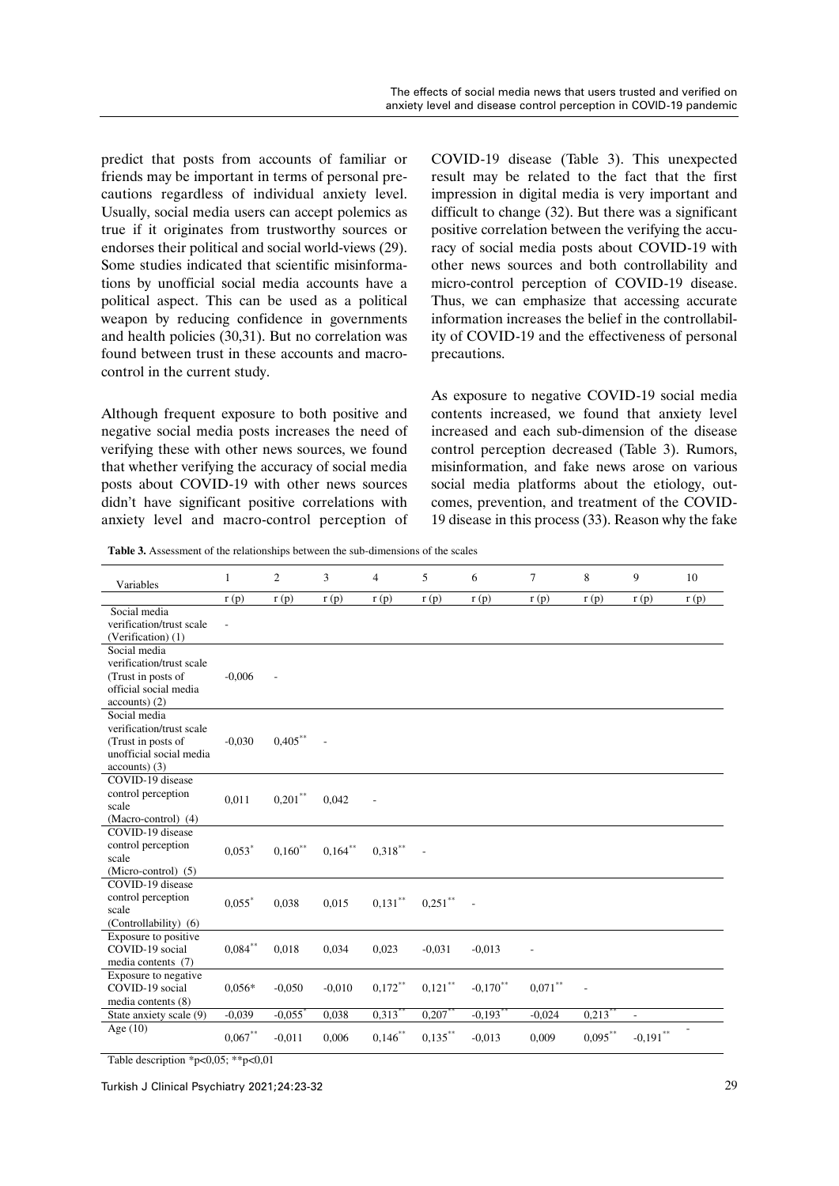predict that posts from accounts of familiar or friends may be important in terms of personal precautions regardless of individual anxiety level. Usually, social media users can accept polemics as true if it originates from trustworthy sources or endorses their political and social world-views (29). Some studies indicated that scientific misinformations by unofficial social media accounts have a political aspect. This can be used as a political weapon by reducing confidence in governments and health policies (30,31). But no correlation was found between trust in these accounts and macrocontrol in the current study.

Although frequent exposure to both positive and negative social media posts increases the need of verifying these with other news sources, we found that whether verifying the accuracy of social media posts about COVID-19 with other news sources didn't have significant positive correlations with anxiety level and macro-control perception of COVID-19 disease (Table 3). This unexpected result may be related to the fact that the first impression in digital media is very important and difficult to change (32). But there was a significant positive correlation between the verifying the accuracy of social media posts about COVID-19 with other news sources and both controllability and micro-control perception of COVID-19 disease. Thus, we can emphasize that accessing accurate information increases the belief in the controllability of COVID-19 and the effectiveness of personal precautions.

As exposure to negative COVID-19 social media contents increased, we found that anxiety level increased and each sub-dimension of the disease control perception decreased (Table 3). Rumors, misinformation, and fake news arose on various social media platforms about the etiology, outcomes, prevention, and treatment of the COVID-19 disease in this process (33). Reason why the fake

**Table 3.** Assessment of the relationships between the sub-dimensions of the scales

| Variables                                                                                                    | $\mathbf{1}$   | $\overline{c}$        | 3          | $\overline{4}$ | 5          | 6           | $\overline{7}$ | 8                       | 9              | 10   |
|--------------------------------------------------------------------------------------------------------------|----------------|-----------------------|------------|----------------|------------|-------------|----------------|-------------------------|----------------|------|
|                                                                                                              | r(p)           | r(p)                  | r(p)       | r(p)           | r(p)       | r(p)        | r(p)           | r(p)                    | r(p)           | r(p) |
| Social media<br>verification/trust scale<br>(Verification) (1)                                               | $\overline{a}$ |                       |            |                |            |             |                |                         |                |      |
| Social media<br>verification/trust scale<br>(Trust in posts of<br>official social media<br>$accounts)$ (2)   | $-0,006$       |                       |            |                |            |             |                |                         |                |      |
| Social media<br>verification/trust scale<br>(Trust in posts of<br>unofficial social media<br>$accounts)$ (3) | $-0.030$       | $0,405***$            |            |                |            |             |                |                         |                |      |
| COVID-19 disease<br>control perception<br>scale<br>(Macro-control) (4)                                       | 0.011          | $0,201$ **            | 0,042      |                |            |             |                |                         |                |      |
| COVID-19 disease<br>control perception<br>scale<br>(Micro-control) (5)                                       | $0.053*$       | $0,160$ **            | $0,164***$ | $0,318***$     |            |             |                |                         |                |      |
| COVID-19 disease<br>control perception<br>scale<br>(Controllability) (6)                                     | 0.055          | 0,038                 | 0,015      | $0,131***$     | $0,251$ ** |             |                |                         |                |      |
| Exposure to positive<br>COVID-19 social<br>media contents (7)                                                | $0.084***$     | 0,018                 | 0,034      | 0,023          | $-0.031$   | $-0.013$    |                |                         |                |      |
| Exposure to negative<br>COVID-19 social<br>media contents (8)                                                | $0.056*$       | $-0.050$              | $-0.010$   | $0,172***$     | $0,121$ ** | $-0,170$ ** | $0.071***$     |                         |                |      |
| State anxiety scale (9)                                                                                      | $-0.039$       | $-0.055$ <sup>*</sup> | 0,038      | $0,313$ **     | $0,207***$ | $-0,193$ ** | $-0.024$       | $0,2\overline{13}^{**}$ | $\overline{a}$ |      |
| Age $(10)$                                                                                                   | $0,067***$     | $-0.011$              | 0.006      | $0.146***$     | $0,135***$ | $-0.013$    | 0.009          | $0,095***$              | $-0,191$ **    |      |

Table description \*p<0,05; \*\*p<0,01

Turkish J Clinical Psychiatry 2021;24:23-32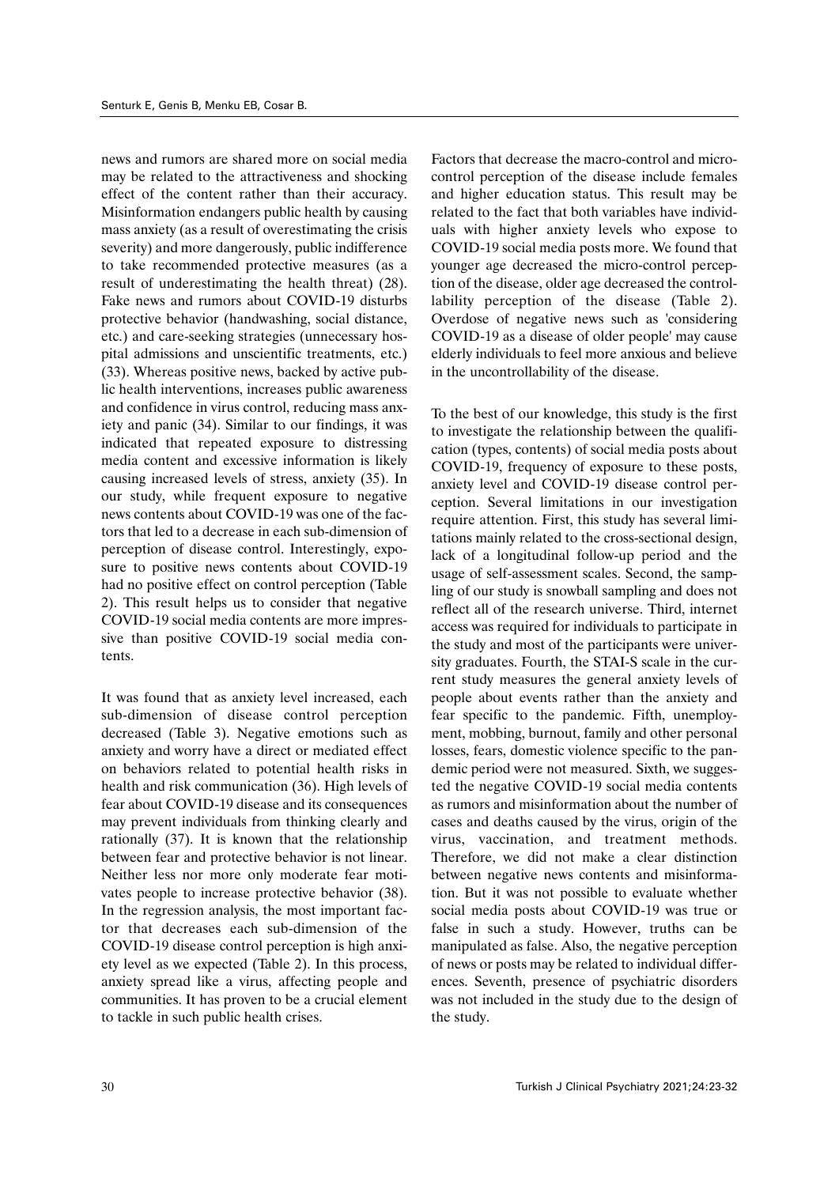news and rumors are shared more on social media may be related to the attractiveness and shocking effect of the content rather than their accuracy. Misinformation endangers public health by causing mass anxiety (as a result of overestimating the crisis severity) and more dangerously, public indifference to take recommended protective measures (as a result of underestimating the health threat) (28). Fake news and rumors about COVID-19 disturbs protective behavior (handwashing, social distance, etc.) and care-seeking strategies (unnecessary hospital admissions and unscientific treatments, etc.) (33). Whereas positive news, backed by active public health interventions, increases public awareness and confidence in virus control, reducing mass anxiety and panic (34). Similar to our findings, it was indicated that repeated exposure to distressing media content and excessive information is likely causing increased levels of stress, anxiety (35). In our study, while frequent exposure to negative news contents about COVID-19 was one of the factors that led to a decrease in each sub-dimension of perception of disease control. Interestingly, exposure to positive news contents about COVID-19 had no positive effect on control perception (Table 2). This result helps us to consider that negative COVID-19 social media contents are more impressive than positive COVID-19 social media contents.

It was found that as anxiety level increased, each sub-dimension of disease control perception decreased (Table 3). Negative emotions such as anxiety and worry have a direct or mediated effect on behaviors related to potential health risks in health and risk communication (36). High levels of fear about COVID-19 disease and its consequences may prevent individuals from thinking clearly and rationally (37). It is known that the relationship between fear and protective behavior is not linear. Neither less nor more only moderate fear motivates people to increase protective behavior (38). In the regression analysis, the most important factor that decreases each sub-dimension of the COVID-19 disease control perception is high anxiety level as we expected (Table 2). In this process, anxiety spread like a virus, affecting people and communities. It has proven to be a crucial element to tackle in such public health crises.

Factors that decrease the macro-control and microcontrol perception of the disease include females and higher education status. This result may be related to the fact that both variables have individuals with higher anxiety levels who expose to COVID-19 social media posts more. We found that younger age decreased the micro-control perception of the disease, older age decreased the controllability perception of the disease (Table 2). Overdose of negative news such as 'considering COVID-19 as a disease of older people' may cause elderly individuals to feel more anxious and believe in the uncontrollability of the disease.

To the best of our knowledge, this study is the first to investigate the relationship between the qualification (types, contents) of social media posts about COVID-19, frequency of exposure to these posts, anxiety level and COVID-19 disease control perception. Several limitations in our investigation require attention. First, this study has several limitations mainly related to the cross-sectional design, lack of a longitudinal follow-up period and the usage of self-assessment scales. Second, the sampling of our study is snowball sampling and does not reflect all of the research universe. Third, internet access was required for individuals to participate in the study and most of the participants were university graduates. Fourth, the STAI-S scale in the current study measures the general anxiety levels of people about events rather than the anxiety and fear specific to the pandemic. Fifth, unemployment, mobbing, burnout, family and other personal losses, fears, domestic violence specific to the pandemic period were not measured. Sixth, we suggested the negative COVID-19 social media contents as rumors and misinformation about the number of cases and deaths caused by the virus, origin of the virus, vaccination, and treatment methods. Therefore, we did not make a clear distinction between negative news contents and misinformation. But it was not possible to evaluate whether social media posts about COVID-19 was true or false in such a study. However, truths can be manipulated as false. Also, the negative perception of news or posts may be related to individual differences. Seventh, presence of psychiatric disorders was not included in the study due to the design of the study.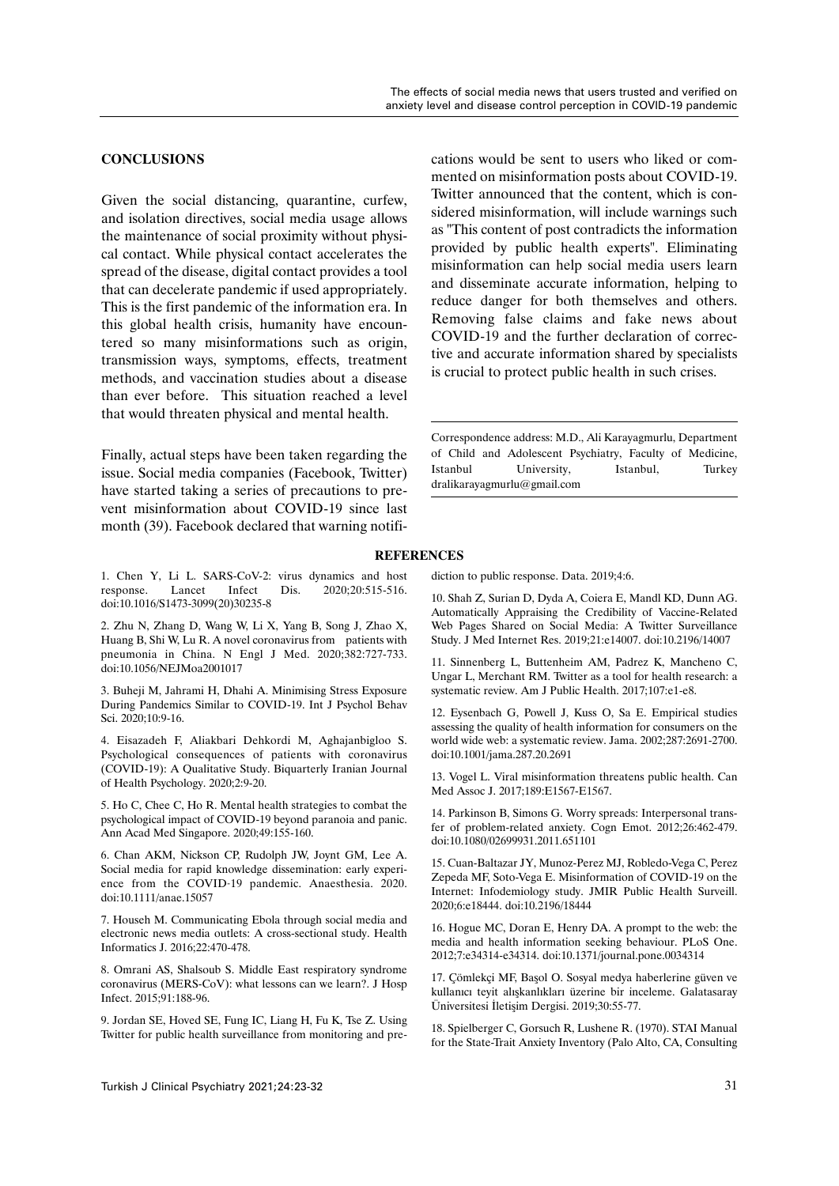## **CONCLUSIONS**

Given the social distancing, quarantine, curfew, and isolation directives, social media usage allows the maintenance of social proximity without physical contact. While physical contact accelerates the spread of the disease, digital contact provides a tool that can decelerate pandemic if used appropriately. This is the first pandemic of the information era. In this global health crisis, humanity have encountered so many misinformations such as origin, transmission ways, symptoms, effects, treatment methods, and vaccination studies about a disease than ever before. This situation reached a level that would threaten physical and mental health.

Finally, actual steps have been taken regarding the issue. Social media companies (Facebook, Twitter) have started taking a series of precautions to prevent misinformation about COVID-19 since last month (39). Facebook declared that warning notifications would be sent to users who liked or commented on misinformation posts about COVID-19. Twitter announced that the content, which is considered misinformation, will include warnings such as "This content of post contradicts the information provided by public health experts". Eliminating misinformation can help social media users learn and disseminate accurate information, helping to reduce danger for both themselves and others. Removing false claims and fake news about COVID-19 and the further declaration of corrective and accurate information shared by specialists is crucial to protect public health in such crises.

Correspondence address: M.D., Ali Karayagmurlu, Department of Child and Adolescent Psychiatry, Faculty of Medicine, Istanbul University, Istanbul, Turkey dralikarayagmurlu@gmail.com

### 1. Chen Y, Li L. SARS-CoV-2: virus dynamics and host response. Lancet Infect Dis. 2020;20:515-516. doi:10.1016/S1473-3099(20)30235-8

2. Zhu N, Zhang D, Wang W, Li X, Yang B, Song J, Zhao X, Huang B, Shi W, Lu R. A novel coronavirus from patients with pneumonia in China. N Engl J Med. 2020;382:727-733. doi:10.1056/NEJMoa2001017

3. Buheji M, Jahrami H, Dhahi A. Minimising Stress Exposure During Pandemics Similar to COVID-19. Int J Psychol Behav Sci. 2020;10:9-16.

4. Eisazadeh F, Aliakbari Dehkordi M, Aghajanbigloo S. Psychological consequences of patients with coronavirus (COVID-19): A Qualitative Study. Biquarterly Iranian Journal of Health Psychology. 2020;2:9-20.

5. Ho C, Chee C, Ho R. Mental health strategies to combat the psychological impact of COVID-19 beyond paranoia and panic. Ann Acad Med Singapore. 2020;49:155-160.

6. Chan AKM, Nickson CP, Rudolph JW, Joynt GM, Lee A. Social media for rapid knowledge dissemination: early experience from the COVID-19 pandemic. Anaesthesia. 2020. doi:10.1111/anae.15057

7. Househ M. Communicating Ebola through social media and electronic news media outlets: A cross-sectional study. Health Informatics J. 2016;22:470-478.

8. Omrani AS, Shalsoub S. Middle East respiratory syndrome coronavirus (MERS-CoV): what lessons can we learn?. J Hosp Infect. 2015;91:188-96.

9. Jordan SE, Hoved SE, Fung IC, Liang H, Fu K, Tse Z. Using Twitter for public health surveillance from monitoring and prediction to public response. Data. 2019;4:6.

**REFERENCES**

10. Shah Z, Surian D, Dyda A, Coiera E, Mandl KD, Dunn AG. Automatically Appraising the Credibility of Vaccine-Related Web Pages Shared on Social Media: A Twitter Surveillance Study. J Med Internet Res. 2019;21:e14007. doi:10.2196/14007

11. Sinnenberg L, Buttenheim AM, Padrez K, Mancheno C, Ungar L, Merchant RM. Twitter as a tool for health research: a systematic review. Am J Public Health. 2017;107:e1-e8.

12. Eysenbach G, Powell J, Kuss O, Sa E. Empirical studies assessing the quality of health information for consumers on the world wide web: a systematic review. Jama. 2002;287:2691-2700. doi:10.1001/jama.287.20.2691

13. Vogel L. Viral misinformation threatens public health. Can Med Assoc J. 2017;189:E1567-E1567.

14. Parkinson B, Simons G. Worry spreads: Interpersonal transfer of problem-related anxiety. Cogn Emot. 2012;26:462-479. doi:10.1080/02699931.2011.651101

15. Cuan-Baltazar JY, Munoz-Perez MJ, Robledo-Vega C, Perez Zepeda MF, Soto-Vega E. Misinformation of COVID-19 on the Internet: Infodemiology study. JMIR Public Health Surveill. 2020;6:e18444. doi:10.2196/18444

16. Hogue MC, Doran E, Henry DA. A prompt to the web: the media and health information seeking behaviour. PLoS One. 2012;7:e34314-e34314. doi:10.1371/journal.pone.0034314

17. Çömlekçi MF, Başol O. Sosyal medya haberlerine güven ve kullanıcı teyit alışkanlıkları üzerine bir inceleme. Galatasaray Üniversitesi İletişim Dergisi. 2019;30:55-77.

18. Spielberger C, Gorsuch R, Lushene R. (1970). STAI Manual for the State-Trait Anxiety Inventory (Palo Alto, CA, Consulting